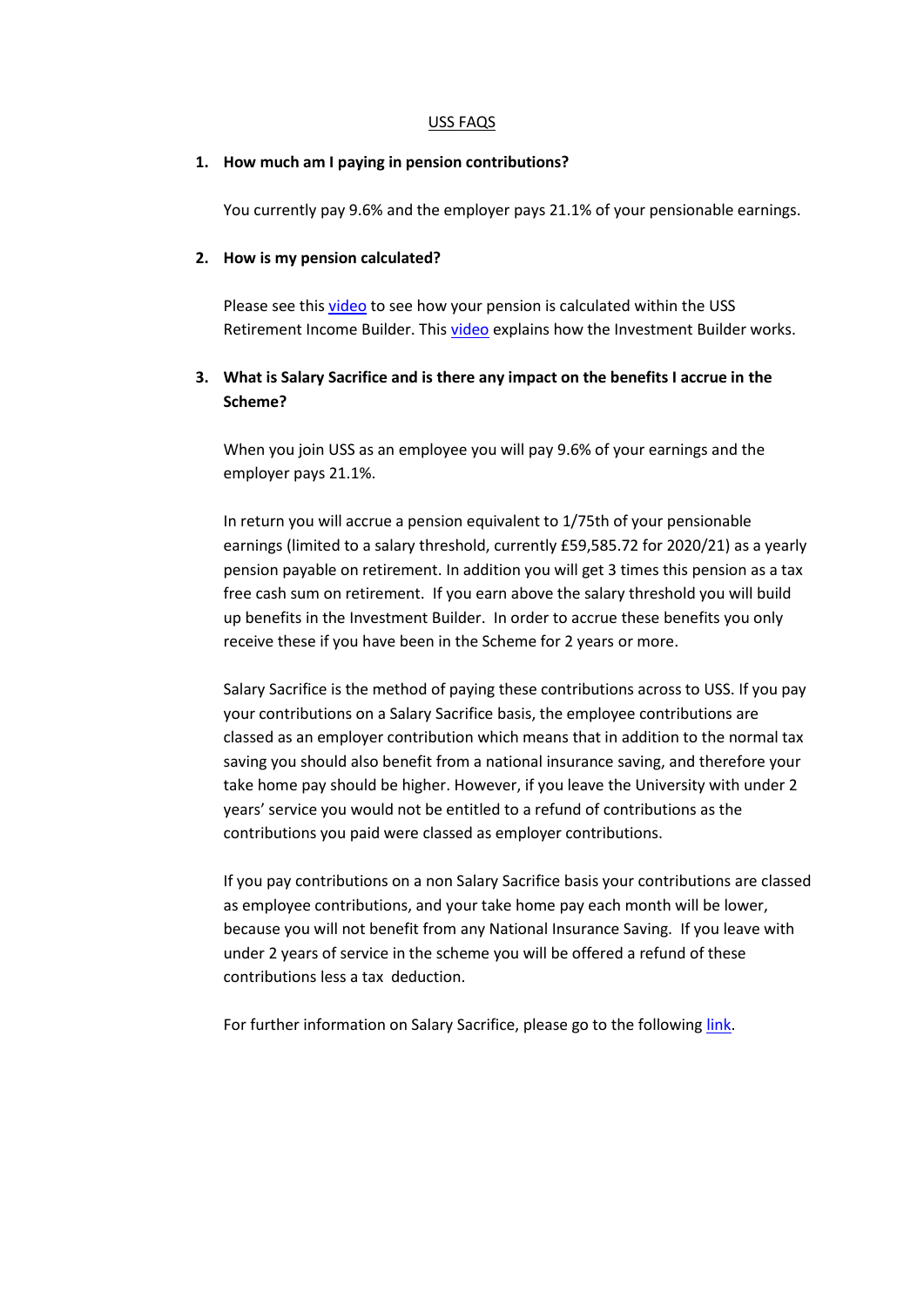#### USS FAQS

### **1. How much am I paying in pension contributions?**

You currently pay 9.6% and the employer pays 21.1% of your pensionable earnings.

#### **2. How is my pension calculated?**

Please see thi[s video](https://vimeo.com/224457037) to see how your pension is calculated within the USS Retirement Income Builder. Thi[s video](https://vimeo.com/178345590) explains how the Investment Builder works.

# **3. What is Salary Sacrifice and is there any impact on the benefits I accrue in the Scheme?**

When you join USS as an employee you will pay 9.6% of your earnings and the employer pays 21.1%.

In return you will accrue a pension equivalent to 1/75th of your pensionable earnings (limited to a salary threshold, currently £59,585.72 for 2020/21) as a yearly pension payable on retirement. In addition you will get 3 times this pension as a tax free cash sum on retirement. If you earn above the salary threshold you will build up benefits in the Investment Builder. In order to accrue these benefits you only receive these if you have been in the Scheme for 2 years or more.

Salary Sacrifice is the method of paying these contributions across to USS. If you pay your contributions on a Salary Sacrifice basis, the employee contributions are classed as an employer contribution which means that in addition to the normal tax saving you should also benefit from a national insurance saving, and therefore your take home pay should be higher. However, if you leave the University with under 2 years' service you would not be entitled to a refund of contributions as the contributions you paid were classed as employer contributions.

If you pay contributions on a non Salary Sacrifice basis your contributions are classed as employee contributions, and your take home pay each month will be lower, because you will not benefit from any National Insurance Saving. If you leave with under 2 years of service in the scheme you will be offered a refund of these contributions less a tax deduction.

For further information on Salary Sacrifice, please go to the following [link.](https://www.uss.co.uk/for-members/youre-a-new-joiner/what-youll-pay)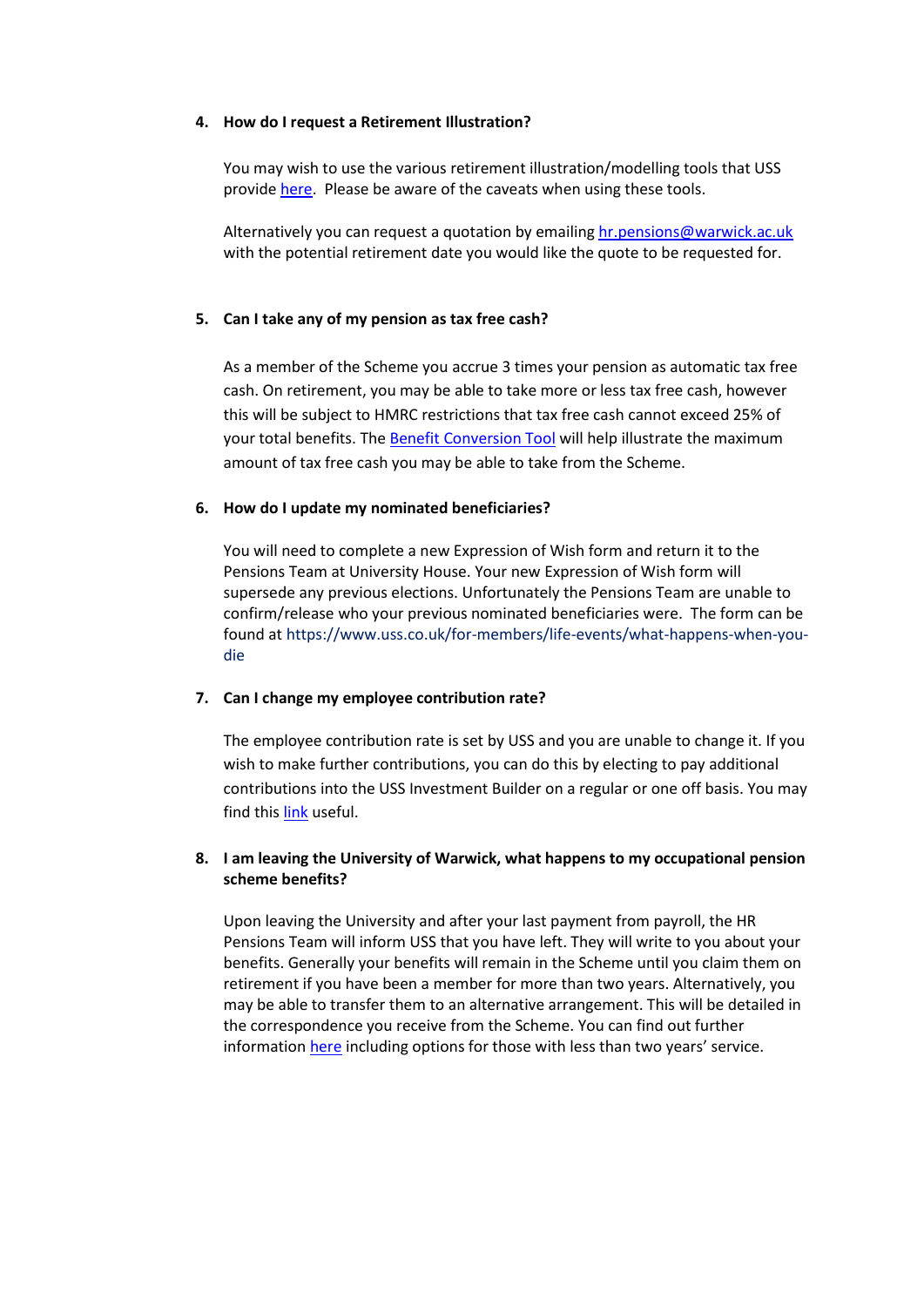### **4. How do I request a Retirement Illustration?**

You may wish to use the various retirement illustration/modelling tools that USS provid[e here.](https://www.uss.co.uk/for-members/calculate-your-benefits) Please be aware of the caveats when using these tools.

Alternatively you can request a quotation by emailing [hr.pensions@warwick.ac.uk](mailto:hr.pensions@warwick.ac.uk) with the potential retirement date you would like the quote to be requested for.

## **5. Can I take any of my pension as tax free cash?**

As a member of the Scheme you accrue 3 times your pension as automatic tax free cash. On retirement, you may be able to take more or less tax free cash, however this will be subject to HMRC restrictions that tax free cash cannot exceed 25% of your total benefits. The [Benefit Conversion Tool](https://www.ussbenefitmodeller.co.uk/benefit_conversion) will help illustrate the maximum amount of tax free cash you may be able to take from the Scheme.

## **6. How do I update my nominated beneficiaries?**

You will need to complete a new Expression of Wish form and return it to the Pensions Team at University House. Your new Expression of Wish form will supersede any previous elections. Unfortunately the Pensions Team are unable to confirm/release who your previous nominated beneficiaries were. The form can be found a[t https://www.uss.co.uk/for-members/life-events/what-happens-when-you](https://www.uss.co.uk/for-members/life-events/what-happens-when-you-die)[die](https://www.uss.co.uk/for-members/life-events/what-happens-when-you-die)

## **7. Can I change my employee contribution rate?**

The employee contribution rate is set by USS and you are unable to change it. If you wish to make further contributions, you can do this by electing to pay additional contributions into the USS Investment Builder on a regular or one off basis. You may find thi[s link](https://www.uss.co.uk/for-members/your-pension-explained/investment-builder) useful.

## **8. I am leaving the University of Warwick, what happens to my occupational pension scheme benefits?**

Upon leaving the University and after your last payment from payroll, the HR Pensions Team will inform USS that you have left. They will write to you about your benefits. Generally your benefits will remain in the Scheme until you claim them on retirement if you have been a member for more than two years. Alternatively, you may be able to transfer them to an alternative arrangement. This will be detailed in the correspondence you receive from the Scheme. You can find out further informatio[n here](https://www.uss.co.uk/for-members/leaving-or-already-left) including options for those with less than two years' service.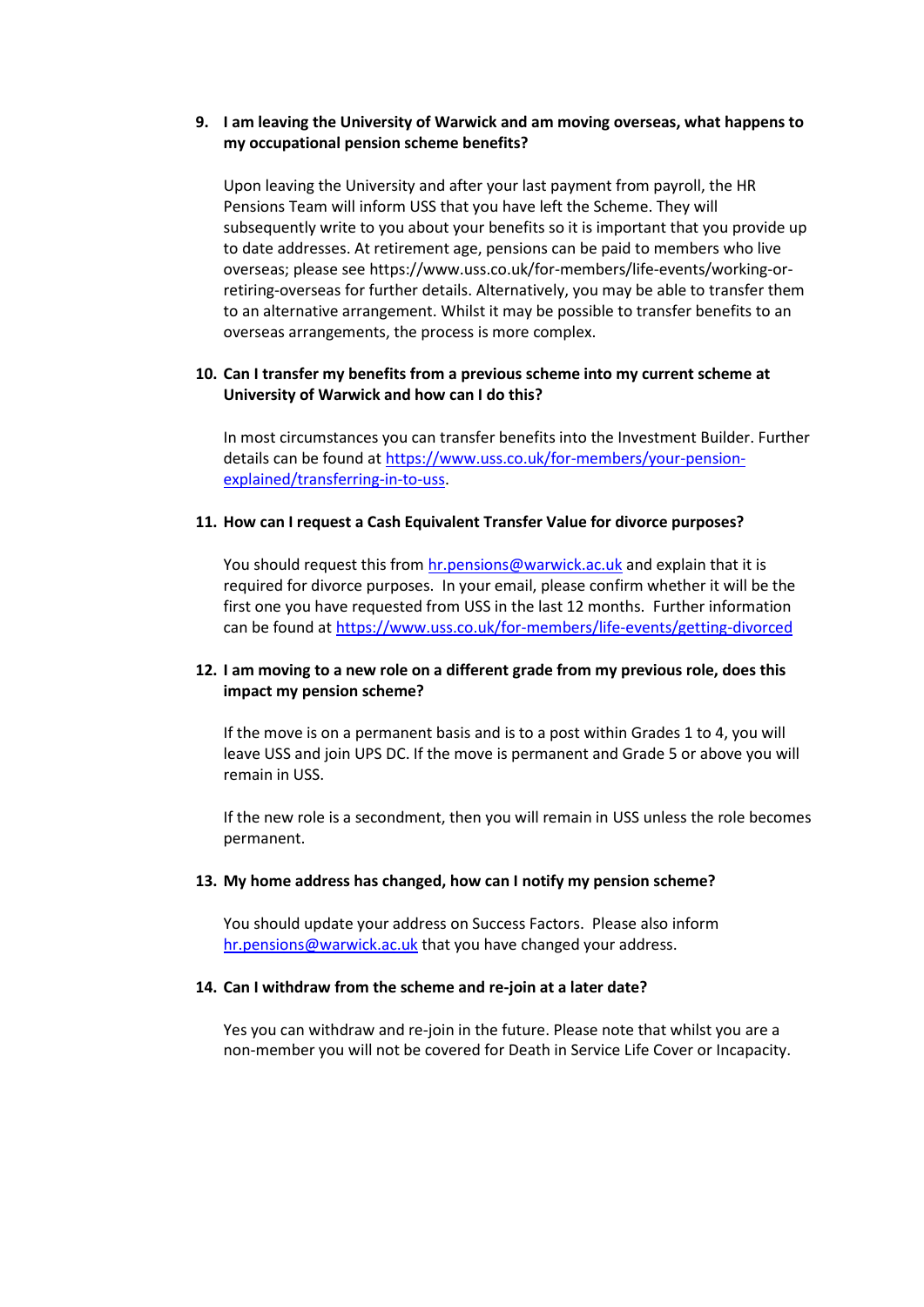## **9. I am leaving the University of Warwick and am moving overseas, what happens to my occupational pension scheme benefits?**

Upon leaving the University and after your last payment from payroll, the HR Pensions Team will inform USS that you have left the Scheme. They will subsequently write to you about your benefits so it is important that you provide up to date addresses. At retirement age, pensions can be paid to members who live overseas; please see [https://www.uss.co.uk/for-members/life-events/working-or](https://www.uss.co.uk/for-members/life-events/working-or-retiring-overseas)[retiring-overseas](https://www.uss.co.uk/for-members/life-events/working-or-retiring-overseas) for further details. Alternatively, you may be able to transfer them to an alternative arrangement. Whilst it may be possible to transfer benefits to an overseas arrangements, the process is more complex.

## **10. Can I transfer my benefits from a previous scheme into my current scheme at University of Warwick and how can I do this?**

In most circumstances you can transfer benefits into the Investment Builder. Further details can be found at [https://www.uss.co.uk/for-members/your-pension](https://www.uss.co.uk/for-members/your-pension-explained/transferring-in-to-uss)[explained/transferring-in-to-uss.](https://www.uss.co.uk/for-members/your-pension-explained/transferring-in-to-uss)

## **11. How can I request a Cash Equivalent Transfer Value for divorce purposes?**

You should request this fro[m hr.pensions@warwick.ac.uk](mailto:hr.pensions@warwick.ac.uk) and explain that it is required for divorce purposes. In your email, please confirm whether it will be the first one you have requested from USS in the last 12 months. Further information can be found at<https://www.uss.co.uk/for-members/life-events/getting-divorced>

## **12. I am moving to a new role on a different grade from my previous role, does this impact my pension scheme?**

If the move is on a permanent basis and is to a post within Grades 1 to 4, you will leave USS and join UPS DC. If the move is permanent and Grade 5 or above you will remain in USS.

If the new role is a secondment, then you will remain in USS unless the role becomes permanent.

#### **13. My home address has changed, how can I notify my pension scheme?**

You should update your address on Success Factors. Please also inform [hr.pensions@warwick.ac.uk](mailto:hr.pensions@warwick.ac.uk) that you have changed your address.

#### **14. Can I withdraw from the scheme and re-join at a later date?**

Yes you can withdraw and re-join in the future. Please note that whilst you are a non-member you will not be covered for Death in Service Life Cover or Incapacity.